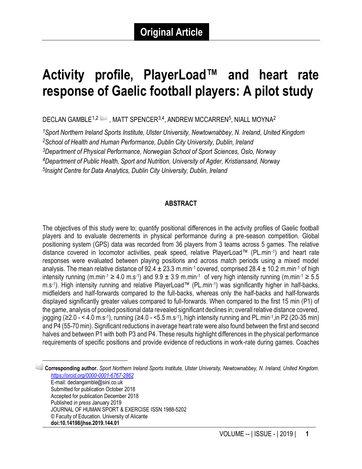# **Activity profile, PlayerLoad™ and heart rate response of Gaelic football players: A pilot study**

DECLAN GAMBLE $^{1,2}\stackrel{[\infty]}{\sim}$ , MATT SPENCER $^{3,4}$ , ANDREW MCCARREN $^5$ , NIALL MOYNA $^2$ 

*Sport Northern Ireland Sports Institute, Ulster University, Newtownabbey, N. Ireland, United Kingdom School of Health and Human Performance, Dublin City University, Dublin, Ireland Department of Physical Performance, Norwegian School of Sport Sciences, Oslo, Norway Department of Public Health, Sport and Nutrition, University of Agder, Kristiansand, Norway Insight Centre for Data Analytics, Dublin City University, Dublin, Ireland*

#### **ABSTRACT**

The objectives of this study were to; quantify positional differences in the activity profiles of Gaelic football players and to evaluate decrements in physical performance during a pre-season competition. Global positioning system (GPS) data was recorded from 36 players from 3 teams across 5 games. The relative distance covered in locomotor activities, peak speed, relative PlayerLoad™ (PL.min-1 ) and heart rate responses were evaluated between playing positions and across match periods using a mixed model analysis. The mean relative distance of  $92.4 \pm 23.3$  m.min<sup>-1</sup> covered, comprised  $28.4 \pm 10.2$  m.min<sup>-1</sup> of high intensity running (m.min-1 ≥ 4.0 m.s-1) and  $9.9 \pm 3.9$  m.min-1 of very high intensity running (m.min-1 ≥ 5.5 m.s-1 ). High intensity running and relative PlayerLoad™ (PL.min-1 ) was significantly higher in half-backs, midfielders and half-forwards compared to the full-backs, whereas only the half-backs and half-forwards displayed significantly greater values compared to full-forwards. When compared to the first 15 min (P1) of the game, analysis of pooled positional data revealed significant declines in; overall relative distance covered, jogging (≥2.0 - < 4.0 m.s<sup>-1</sup>), running (≥4.0 - <5.5 m.s<sup>-1</sup>), high intensity running and PL.min<sup>-1</sup>,in P2 (20-35 min) and P4 (55-70 min). Significant reductions in average heart rate were also found between the first and second halves and between P1 with both P3 and P4. These results highlight differences in the physical performance requirements of specific positions and provide evidence of reductions in work-rate during games. Coaches

1 **Corresponding author.** *Sport Northern Ireland Sports Institute, Ulster University, Newtownabbey, N. Ireland, United Kingdom. <https://orcid.org/0000-0001-6767-2862>* E-mail: declangamble@sini.co.uk Submitted for publication October 2018 Accepted for publication December 2018 Published *in press* January 2019 JOURNAL OF HUMAN SPORT & EXERCISE ISSN 1988-5202 © Faculty of Education. University of Alicante **doi:10.14198/jhse.2019.144.01**

 $\frac{1}{2}$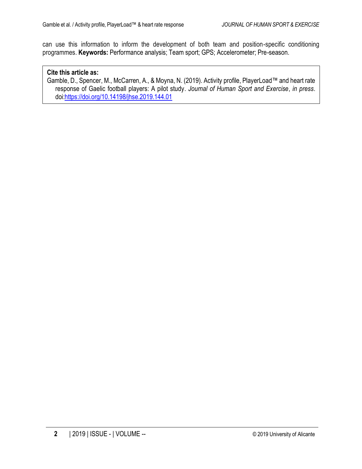can use this information to inform the development of both team and position-specific conditioning programmes. **Keywords:** Performance analysis; Team sport; GPS; Accelerometer; Pre-season.

#### **Cite this article as:**

Gamble, D., Spencer, M., McCarren, A., & Moyna, N. (2019). Activity profile, PlayerLoad™ and heart rate response of Gaelic football players: A pilot study. *Journal of Human Sport and Exercise*, *in press*. doi[:https://doi.org/10.14198/jhse.2019.144.01](https://doi.org/10.14198/jhse.2019.144.01)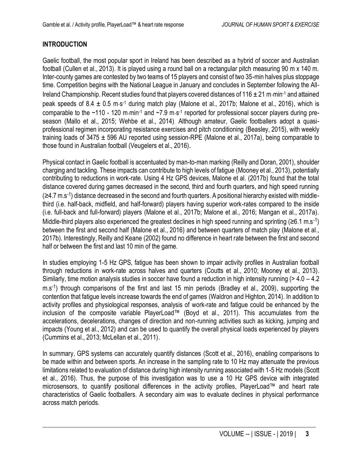## **INTRODUCTION**

Gaelic football, the most popular sport in Ireland has been described as a hybrid of soccer and Australian football (Cullen et al., 2013). It is played using a round ball on a rectangular pitch measuring 90 m x 140 m. Inter-county games are contested by two teams of 15 players and consist of two 35-min halves plus stoppage time. Competition begins with the National League in January and concludes in September following the All-Ireland Championship. Recent studies found that players covered distances of 116  $\pm$  21 m·min<sup>-1</sup> and attained peak speeds of 8.4 ± 0.5 m·s<sup>-1</sup> during match play (Malone et al., 2017b; Malone et al., 2016), which is comparable to the  $~110$  - 120 m min<sup>-1</sup> and  $~2.9$  m s<sup>-1</sup> reported for professional soccer players during preseason (Mallo et al., 2015; Wehbe et al., 2014). Although amateur, Gaelic footballers adopt a quasiprofessional regimen incorporating resistance exercises and pitch conditioning (Beasley, 2015), with weekly training loads of 3475  $\pm$  596 AU reported using session-RPE (Malone et al., 2017a), being comparable to those found in Australian football (Veugelers et al., 2016).

Physical contact in Gaelic football is accentuated by man-to-man marking (Reilly and Doran, 2001), shoulder charging and tackling. These impacts can contribute to high levels of fatigue (Mooney et al., 2013), potentially contributing to reductions in work-rate. Using 4 Hz GPS devices, Malone et al. (2017b) found that the total distance covered during games decreased in the second, third and fourth quarters, and high speed running (≥4.7 m.s<sup>-1</sup>) distance decreased in the second and fourth quarters. A positional hierarchy existed with middlethird (i.e. half-back, midfield, and half-forward) players having superior work-rates compared to the inside (i.e. full-back and full-forward) players (Malone et al., 2017b; Malone et al., 2016; Mangan et al., 2017a). Middle-third players also experienced the greatest declines in high speed running and sprinting ( $\geq 6.1$  m.s<sup>-1</sup>) between the first and second half (Malone et al., 2016) and between quarters of match play (Malone et al., 2017b). Interestingly, Reilly and Keane (2002) found no difference in heart rate between the first and second half or between the first and last 10 min of the game.

In studies employing 1-5 Hz GPS, fatigue has been shown to impair activity profiles in Australian football through reductions in work-rate across halves and quarters (Coutts et al., 2010; Mooney et al., 2013). Similarly, time motion analysis studies in soccer have found a reduction in high intensity running (> 4.0 – 4.2 m.s<sup>-1</sup>) through comparisons of the first and last 15 min periods (Bradley et al., 2009), supporting the contention that fatigue levels increase towards the end of games (Waldron and Highton, 2014). In addition to activity profiles and physiological responses, analysis of work-rate and fatigue could be enhanced by the inclusion of the composite variable PlayerLoad™ (Boyd et al., 2011). This accumulates from the accelerations, decelerations, changes of direction and non-running activities such as kicking, jumping and impacts (Young et al., 2012) and can be used to quantify the overall physical loads experienced by players (Cummins et al., 2013; McLellan et al., 2011).

In summary, GPS systems can accurately quantify distances (Scott et al., 2016), enabling comparisons to be made within and between sports. An increase in the sampling rate to 10 Hz may attenuate the previous limitations related to evaluation of distance during high intensity running associated with 1-5 Hz models (Scott et al., 2016). Thus, the purpose of this investigation was to use a 10 Hz GPS device with integrated microsensors, to quantify positional differences in the activity profiles, PlayerLoad™ and heart rate characteristics of Gaelic footballers. A secondary aim was to evaluate declines in physical performance across match periods.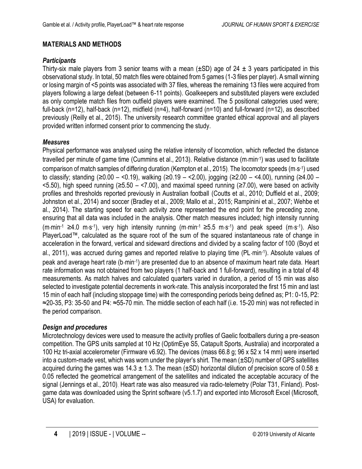## **MATERIALS AND METHODS**

## *Participants*

Thirty-six male players from 3 senior teams with a mean ( $\pm$ SD) age of 24  $\pm$  3 years participated in this observational study. In total, 50 match files were obtained from 5 games (1-3 files per player). A small winning or losing margin of <5 points was associated with 37 files, whereas the remaining 13 files were acquired from players following a large defeat (between 6-11 points). Goalkeepers and substituted players were excluded as only complete match files from outfield players were examined. The 5 positional categories used were; full-back (n=12), half-back (n=12), midfield (n=4), half-forward (n=10) and full-forward (n=12), as described previously (Reilly et al., 2015). The university research committee granted ethical approval and all players provided written informed consent prior to commencing the study.

## *Measures*

Physical performance was analysed using the relative intensity of locomotion, which reflected the distance travelled per minute of game time (Cummins et al., 2013). Relative distance (m·min·1) was used to facilitate comparison of match samples of differing duration (Kempton et al., 2015). The locomotor speeds (m·s-1) used to classify; standing (≥0.00 – <0.19), walking (≥0.19 – <2.00), jogging (≥2.00 – <4.00), running (≥4.00 – <5.50), high speed running (≥5.50 – <7.00), and maximal speed running (≥7.00), were based on activity profiles and thresholds reported previously in Australian football (Coutts et al., 2010; Duffield et al., 2009; Johnston et al., 2014) and soccer (Bradley et al., 2009; Mallo et al., 2015; Rampinini et al., 2007; Wehbe et al., 2014). The starting speed for each activity zone represented the end point for the preceding zone, ensuring that all data was included in the analysis. Other match measures included; high intensity running (m·min<sup>-1</sup> ≥4.0 m·s<sup>-1</sup>), very high intensity running (m·min<sup>-1</sup> ≥5.5 m·s<sup>-1</sup>) and peak speed (m·s<sup>-1</sup>). Also PlayerLoad™, calculated as the square root of the sum of the squared instantaneous rate of change in acceleration in the forward, vertical and sideward directions and divided by a scaling factor of 100 (Boyd et al., 2011), was accrued during games and reported relative to playing time (PL.min-1 ). Absolute values of peak and average heart rate (b·min-1) are presented due to an absence of maximum heart rate data. Heart rate information was not obtained from two players (1 half-back and 1 full-forward), resulting in a total of 48 measurements. As match halves and calculated quarters varied in duration, a period of 15 min was also selected to investigate potential decrements in work-rate. This analysis incorporated the first 15 min and last 15 min of each half (including stoppage time) with the corresponding periods being defined as; P1: 0-15, P2: ≈20-35, P3: 35-50 and P4: ≈55-70 min. The middle section of each half (i.e. 15-20 min) was not reflected in the period comparison.

## *Design and procedures*

Microtechnology devices were used to measure the activity profiles of Gaelic footballers during a pre-season competition. The GPS units sampled at 10 Hz (OptimEye S5, Catapult Sports, Australia) and incorporated a 100 Hz tri-axial accelerometer (Firmware v6.92). The devices (mass 66.8 g; 96 x 52 x 14 mm) were inserted into a custom-made vest, which was worn under the player's shirt. The mean  $(\pm SD)$  number of GPS satellites acquired during the games was 14.3  $\pm$  1.3. The mean ( $\pm$ SD) horizontal dilution of precision score of 0.58  $\pm$ 0.05 reflected the geometrical arrangement of the satellites and indicated the acceptable accuracy of the signal (Jennings et al., 2010). Heart rate was also measured via radio-telemetry (Polar T31, Finland). Postgame data was downloaded using the Sprint software (v5.1.7) and exported into Microsoft Excel (Microsoft, USA) for evaluation.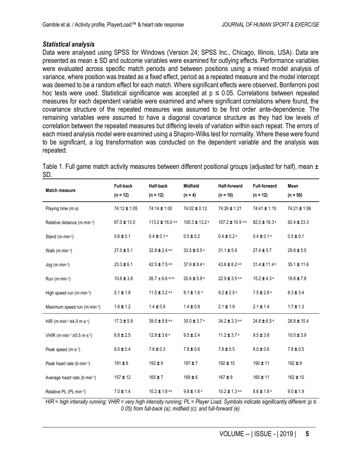#### *Statistical analysis*

Data were analysed using SPSS for Windows (Version 24; SPSS Inc., Chicago, Illinois, USA). Data are presented as mean ± SD and outcome variables were examined for outlying effects. Performance variables were evaluated across specific match periods and between positions using a mixed model analysis of variance, where position was treated as a fixed effect, period as a repeated measure and the model intercept was deemed to be a random effect for each match. Where significant effects were observed, Bonferroni post hoc tests were used. Statistical significance was accepted at  $p \le 0.05$ . Correlations between repeated measures for each dependent variable were examined and where significant correlations where found, the covariance structure of the repeated measures was assumed to be first order ante-dependence. The remaining variables were assumed to have a diagonal covariance structure as they had low levels of correlation between the repeated measures but differing levels of variation within each repeat. The errors of each mixed analysis model were examined using a Shapiro-Wilks test for normality. Where these were found to be significant, a log transformation was conducted on the dependent variable and the analysis was repeated.

| Table 1. Full game match activity measures between different positional groups (adjusted for half), mean $\pm$ |  |  |  |  |  |
|----------------------------------------------------------------------------------------------------------------|--|--|--|--|--|
| <b>SD</b>                                                                                                      |  |  |  |  |  |

| <b>Match measure</b>         | <b>Full-back</b><br>$(n = 12)$ | <b>Half-back</b><br>$(n = 12)$ | <b>Midfield</b><br>$(n = 4)$  | <b>Half-forward</b><br>$(n = 10)$ | <b>Full-forward</b><br>$(n = 12)$ | Mean<br>$(n = 50)$ |
|------------------------------|--------------------------------|--------------------------------|-------------------------------|-----------------------------------|-----------------------------------|--------------------|
| Playing time (m:s)           | 74:12 ± 1:05                   | 74:14 ± 1:00                   | $74:02 \pm 0:12$              | 74:26 ± 1:21                      | 74:41 ± 1:15                      | $74:21 \pm 1:06$   |
| Relative distance (m·min-1)  | $67.0 \pm 13.0$                | $113.2 \pm 16.0$ a,e           | $100.3 \pm 13.2$ <sup>a</sup> | 107.2 ± 10.9 a,e                  | 82.0 ± 18.3 <sup>a</sup>          | $92.4 \pm 23.3$    |
| Stand (m·min-1)              | $0.6 \pm 0.1$                  | $0.4 \pm 0.1$ <sup>a</sup>     | $0.5 \pm 0.2$                 | $0.4 \pm 0.2$ <sup>a</sup>        | $0.4 \pm 0.1$ <sup>a</sup>        | $0.5 \pm 0.1$      |
| Walk (m·min-1)               | $27.0 \pm 5.1$                 | $32.8 \pm 2.4$ a,e             | $33.5 \pm 6.5$ <sup>a</sup>   | $31.1 \pm 5.9$                    | $27.4 \pm 5.7$                    | $29.8 \pm 5.5$     |
| $Jog (m·min-1)$              | $23.3 \pm 6.1$                 | $42.5 \pm 7.5$ a,e             | $37.9 \pm 8.4$ <sup>a</sup>   | $43.6 \pm 8.2$ a,e                | $31.4 \pm 11.4$ <sup>a</sup>      | $35.1 \pm 11.6$    |
| $Run (m·min-1)$              | $10.6 \pm 3.8$                 | $26.7 \pm 6.6$ a,c,e           | $20.6 \pm 5.9$ <sup>a</sup>   | $22.9 \pm 3.5$ a,e                | $15.2 \pm 4.3$ <sup>a</sup>       | $18.8 \pm 7.8$     |
| High speed run (m·min-1)     | $5.1 \pm 1.8$                  | $11.5 \pm 3.2$ a,e             | $8.1 \pm 1.6$ <sup>a</sup>    | $9.2 \pm 2.5$ <sup>a</sup>        | $7.5 \pm 2.8$ <sup>a</sup>        | $8.3 \pm 3.4$      |
| Maximum speed run (m·min-1)  | $1.6 \pm 1.2$                  | $1.4 \pm 0.9$                  | $1.4 \pm 0.9$                 | $2.1 \pm 1.9$                     | $2.1 \pm 1.4$                     | $1.7 \pm 1.3$      |
| HIR (m⋅min⋅1 ≥4.0 m⋅s⋅1)     | $17.3 \pm 5.9$                 | 39.5 ± 8.8 a,e                 | $30.0 \pm 3.7$ <sup>a</sup>   | 34.2 ± 3.3 a,e                    | $24.8 \pm 6.5$ <sup>a</sup>       | $28.8 \pm 10.4$    |
| VHIR (m⋅min-1 ≥5.5 m⋅s-1)    | $6.8 \pm 2.5$                  | $12.9 \pm 3.6$ <sup>a</sup>    | $9.5 \pm 2.4$                 | $11.2 \pm 3.7$ <sup>a</sup>       | $9.5 \pm 3.8$                     | $10.0 \pm 3.9$     |
| Peak speed (m·s-1)           | $8.0 \pm 0.4$                  | $7.6 \pm 0.3$                  | $7.8 \pm 0.6$                 | $7.8 \pm 0.5$                     | $8.0 \pm 0.6$                     | $7.8 \pm 0.5$      |
| Peak heart rate (b-min-1)    | $191 \pm 6$                    | $192 + 9$                      | $197 + 7$                     | $192 \pm 10$                      | $190 \pm 11$                      | $192 + 9$          |
| Average heart rate (b-min-1) | $157 \pm 12$                   | $165 + 7$                      | $169 \pm 6$                   | $167 + 9$                         | $160 \pm 11$                      | $162 \pm 10$       |
| Relative PL (PL-min-1)       | $7.0 \pm 1.4$                  | $10.2 \pm 1.6$ a,e             | $9.8 \pm 1.6$ <sup>a</sup>    | $10.2 \pm 1.3$ a,e                | $8.6 \pm 1.6$ <sup>a</sup>        | $9.0 \pm 1.9$      |

*HIR* = high intensity running: VHIR = very high intensity running: PL = Player Load. Symbols indicate significantly different (p ≤ *0.05) from full-back (a); midfield (c); and full-forward (e).*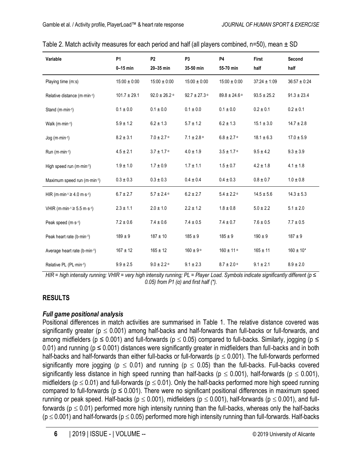| Variable                     | <b>P1</b><br>$0-15$ min | P <sub>2</sub><br>20-35 min | P <sub>3</sub><br>35-50 min  | <b>P4</b><br>55-70 min     | First<br>half    | Second<br>half   |
|------------------------------|-------------------------|-----------------------------|------------------------------|----------------------------|------------------|------------------|
| Playing time (m:s)           | $15:00 \pm 0:00$        | $15:00 \pm 0:00$            | $15:00 \pm 0:00$             | $15:00 \pm 0:00$           | $37:24 \pm 1:09$ | $36:57 \pm 0.24$ |
| Relative distance (m·min-1)  | $101.7 \pm 29.1$        | $92.0 \pm 26.2$ a           | $92.7 \pm 27.3$ <sup>a</sup> | $89.8 \pm 24.6$ a          | $93.5 \pm 25.2$  | $91.3 \pm 23.4$  |
| Stand (m·min-1)              | $0.1\pm0.0$             | $0.1 \pm 0.0$               | $0.1 \pm 0.0$                | $0.1 \pm 0.0$              | $0.2 \pm 0.1$    | $0.2 \pm 0.1$    |
| Walk (m·min-1)               | $5.9 \pm 1.2$           | $6.2 \pm 1.3$               | $5.7 \pm 1.2$                | $6.2 \pm 1.3$              | $15.1 \pm 3.0$   | $14.7 \pm 2.8$   |
| $Jog (m·min-1)$              | $8.2 \pm 3.1$           | $7.0 \pm 2.7$ <sup>a</sup>  | $7.1 \pm 2.8$ <sup>a</sup>   | $6.8 \pm 2.7$ <sup>a</sup> | $18.1 \pm 6.3$   | $17.0 \pm 5.9$   |
| Run $(m \cdot min \cdot 1)$  | $4.5 \pm 2.1$           | $3.7 \pm 1.7$ a             | $4.0 \pm 1.9$                | $3.5 \pm 1.7$ <sup>a</sup> | $9.5 \pm 4.2$    | $9.3 \pm 3.9$    |
| High speed run (m·min-1)     | $1.9\pm1.0$             | $1.7\pm0.9$                 | $1.7 \pm 1.1$                | $1.5 \pm 0.7$              | $4.2 \pm 1.8$    | $4.1 \pm 1.8$    |
| Maximum speed run (m·min-1)  | $0.3 \pm 0.3$           | $0.3 \pm 0.3$               | $0.4 \pm 0.4$                | $0.4 \pm 0.3$              | $0.8 \pm 0.7$    | $1.0 \pm 0.8$    |
| HIR (m⋅min-1 ≥ 4.0 m⋅s-1)    | $6.7 \pm 2.7$           | $5.7 \pm 2.4$ a             | $6.2 \pm 2.7$                | $5.4 \pm 2.2$ <sup>a</sup> | $14.5 \pm 5.6$   | $14.3 \pm 5.3$   |
| VHIR (m⋅min⋅1 ≥ 5.5 m⋅s⋅1)   | $2.3 \pm 1.1$           | $2.0 \pm 1.0$               | $2.2 \pm 1.2$                | $1.8 \pm 0.8$              | $5.0 \pm 2.2$    | $5.1 \pm 2.0$    |
| Peak speed (m·s-1)           | $7.2 \pm 0.6$           | $7.4 \pm 0.6$               | $7.4 \pm 0.5$                | $7.4 \pm 0.7$              | $7.6 \pm 0.5$    | $7.7 \pm 0.5$    |
| Peak heart rate (b min-1)    | $189 \pm 9$             | $187 + 10$                  | $185 + 9$                    | $185 \pm 9$                | $190 + 9$        | $187 + 9$        |
| Average heart rate (b-min-1) | $167 \pm 12$            | $165 \pm 12$                | $160 \pm 9$ <sup>a</sup>     | $160 \pm 11$ a             | $165 \pm 11$     | $160 \pm 10^{*}$ |
| Relative PL (PL min-1)       | $9.9 \pm 2.5$           | $9.0 \pm 2.2$ a             | $9.1 \pm 2.3$                | $8.7 \pm 2.0$ a            | $9.1 \pm 2.1$    | $8.9 \pm 2.0$    |

| Table 2. Match activity measures for each period and half (all players combined, $n=50$ ), mean $\pm$ SD |  |
|----------------------------------------------------------------------------------------------------------|--|
|----------------------------------------------------------------------------------------------------------|--|

*HIR* = high intensity running; VHIR = very high intensity running; PL = Player Load. Symbols indicate significantly different (p ≤ *0.05) from P1 (α) and first half (\*).*

## **RESULTS**

## *Full game positional analysis*

Positional differences in match activities are summarised in Table 1. The relative distance covered was significantly greater ( $p \le 0.001$ ) among half-backs and half-forwards than full-backs or full-forwards, and among midfielders ( $p \le 0.001$ ) and full-forwards ( $p \le 0.05$ ) compared to full-backs. Similarly, jogging ( $p \le$ 0.01) and running ( $p \le 0.001$ ) distances were significantly greater in midfielders than full-backs and in both half-backs and half-forwards than either full-backs or full-forwards ( $p \le 0.001$ ). The full-forwards performed significantly more jogging ( $p \le 0.01$ ) and running ( $p \le 0.05$ ) than the full-backs. Full-backs covered significantly less distance in high speed running than half-backs ( $p \le 0.001$ ), half-forwards ( $p \le 0.001$ ), midfielders ( $p \le 0.01$ ) and full-forwards ( $p \le 0.01$ ). Only the half-backs performed more high speed running compared to full-forwards ( $p \le 0.001$ ). There were no significant positional differences in maximum speed running or peak speed. Half-backs ( $p \le 0.001$ ), midfielders ( $p \le 0.001$ ), half-forwards ( $p \le 0.001$ ), and fullforwards ( $p \le 0.01$ ) performed more high intensity running than the full-backs, whereas only the half-backs  $(p \le 0.001)$  and half-forwards ( $p \le 0.05$ ) performed more high intensity running than full-forwards. Half-backs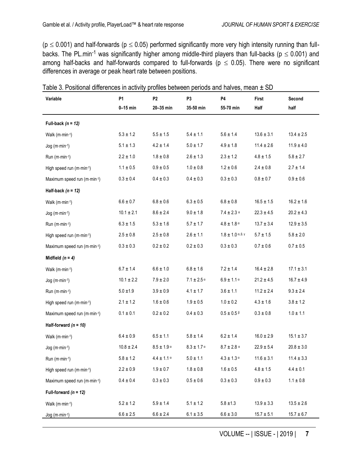( $p \le 0.001$ ) and half-forwards ( $p \le 0.05$ ) performed significantly more very high intensity running than fullbacks. The PL.min<sup>-1</sup> was significantly higher among middle-third players than full-backs ( $p \le 0.001$ ) and among half-backs and half-forwards compared to full-forwards ( $p \le 0.05$ ). There were no significant differences in average or peak heart rate between positions.

| Variable                    | P <sub>1</sub> | P <sub>2</sub>             | P <sub>3</sub>             | P4                                  | First          | Second         |
|-----------------------------|----------------|----------------------------|----------------------------|-------------------------------------|----------------|----------------|
|                             | $0-15$ min     | 20-35 min                  | 35-50 min                  | 55-70 min                           | Half           | half           |
| Full-back $(n = 12)$        |                |                            |                            |                                     |                |                |
| Walk (m·min-1)              | $5.3\pm1.2$    | $5.5 \pm 1.5$              | $5.4 \pm 1.1$              | $5.6 \pm 1.4$                       | $13.6 \pm 3.1$ | $13.4 \pm 2.5$ |
| Jog (m·min-1)               | $5.1 \pm 1.3$  | $4.2 \pm 1.4$              | $5.0 \pm 1.7$              | $4.9 \pm 1.8$                       | $11.4 \pm 2.6$ | $11.9 \pm 4.0$ |
| Run (m·min-1)               | $2.2 \pm 1.0$  | $1.8\pm0.8$                | $2.6 \pm 1.3$              | $2.3\pm1.2$                         | $4.8 \pm 1.5$  | $5.8 \pm 2.7$  |
| High speed run (m·min-1)    | $1.1 \pm 0.5$  | $0.9 \pm 0.5$              | $1.0\pm0.8$                | $1.2 \pm 0.6$                       | $2.4 \pm 0.8$  | $2.7 \pm 1.4$  |
| Maximum speed run (m·min-1) | $0.3 \pm 0.4$  | $0.4 \pm 0.3$              | $0.4 \pm 0.3$              | $0.3 \pm 0.3$                       | $0.8 \pm 0.7$  | $0.9 \pm 0.6$  |
| Half-back $(n = 12)$        |                |                            |                            |                                     |                |                |
| Walk (m·min-1)              | $6.6 \pm 0.7$  | $6.8\pm0.6$                | $6.3 \pm 0.5$              | $6.8\pm0.8$                         | $16.5 \pm 1.5$ | $16.2 \pm 1.6$ |
| Jog (m·min-1)               | $10.1 \pm 2.1$ | $8.6 \pm 2.4$              | $9.0 \pm 1.8$              | $7.4 \pm 2.3$ a                     | $22.3 \pm 4.5$ | $20.2 \pm 4.3$ |
| Run (m·min-1)               | $6.3 \pm 1.5$  | $5.3 \pm 1.6$              | $5.7 \pm 1.7$              | $4.8 \pm 1.8$ a                     | $13.7 \pm 3.4$ | $12.9 \pm 3.5$ |
| High speed run (m·min-1)    | $2.5 \pm 0.8$  | $2.5 \pm 0.8$              | $2.6 \pm 1.1$              | $1.8 \pm 1.0$ a, $\beta$ , $\gamma$ | $5.7 \pm 1.5$  | $5.8 \pm 2.0$  |
| Maximum speed run (m·min-1) | $0.3\pm0.3$    | $0.2 \pm 0.2$              | $0.2\pm0.3$                | $0.3 \pm 0.3$                       | $0.7 \pm 0.6$  | $0.7 \pm 0.5$  |
| Midfield $(n = 4)$          |                |                            |                            |                                     |                |                |
| Walk (m·min-1)              | $6.7 \pm 1.4$  | $6.6 \pm 1.0$              | $6.8 \pm 1.6$              | $7.2 \pm 1.4$                       | $16.4 \pm 2.8$ | $17.1 \pm 3.1$ |
| Jog (m·min-1)               | $10.1 \pm 2.2$ | $7.9 \pm 2.0$              | $7.1 \pm 2.5$ <sup>a</sup> | $6.9 \pm 1.1$ a                     | $21.2 \pm 4.5$ | $16.7 \pm 4.9$ |
| Run (m·min-1)               | $5.0 \pm 1.9$  | $3.9 \pm 0.9$              | $4.1 \pm 1.7$              | $3.6\pm1.1$                         | $11.2 \pm 2.4$ | $9.3 \pm 2.4$  |
| High speed run (m·min-1)    | $2.1 \pm 1.2$  | $1.6 \pm 0.6$              | $1.9 \pm 0.5$              | $1.0 \pm 0.2$                       | $4.3 \pm 1.6$  | $3.8 \pm 1.2$  |
| Maximum speed run (m·min-1) | $0.1 \pm 0.1$  | $0.2 \pm 0.2$              | $0.4 \pm 0.3$              | $0.5 \pm 0.5$ $\beta$               | $0.3 \pm 0.8$  | $1.0 \pm 1.1$  |
| Half-forward $(n = 10)$     |                |                            |                            |                                     |                |                |
| Walk (m·min-1)              | $6.4 \pm 0.9$  | $6.5 \pm 1.1$              | $5.8 \pm 1.4$              | $6.2 \pm 1.4$                       | $16.0 \pm 2.9$ | $15.1 \pm 3.7$ |
| $Jog (m·min-1)$             | $10.8 \pm 2.4$ | $8.5 \pm 1.9$ <sup>a</sup> | $8.3 \pm 1.7$ a            | $8.7 \pm 2.8$ a                     | $22.9 \pm 5.4$ | $20.8\pm3.0$   |
| Run (m·min-1)               | $5.8\pm1.2$    | $4.4 \pm 1.1$ a            | $5.0 \pm 1.1$              | $4.3 \pm 1.3$ a                     | $11.6 \pm 3.1$ | $11.4 \pm 3.3$ |
| High speed run (m·min-1)    | $2.2\pm0.9$    | $1.9\pm0.7$                | $1.8\pm0.8$                | $1.6\pm0.5$                         | $4.8\pm1.5$    | $4.4\pm0.1$    |
| Maximum speed run (m·min-1) | $0.4 \pm 0.4$  | $0.3 \pm 0.3$              | $0.5 \pm 0.6$              | $0.3\pm0.3$                         | $0.9\pm0.3$    | $1.1\pm0.8$    |
| Full-forward $(n = 12)$     |                |                            |                            |                                     |                |                |
| Walk (m·min-1)              | $5.2 \pm 1.2$  | $5.9\pm1.4$                | $5.1 \pm 1.2$              | $5.8 \pm 1.3$                       | $13.9 \pm 3.3$ | $13.5 \pm 2.6$ |
| Jog (m·min-1)               | $6.6\pm2.5$    | $6.6 \pm 2.4$              | $6.1 \pm 3.5$              | $6.6\pm3.0$                         | $15.7 \pm 5.1$ | $15.7 \pm 6.7$ |

Table 3. Positional differences in activity profiles between periods and halves, mean  $\pm$  SD

VOLUME -- | ISSUE - | 2019 | **7**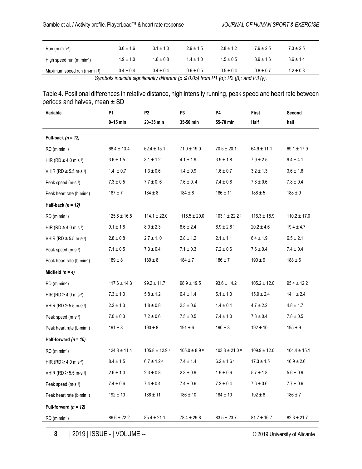| $Run(m\cdot min\cdot 1)$                                                                                             | $3.6 \pm 1.6$ | $3.1 + 1.0$   | $2.9 + 1.5$   | $28 + 12$     | $7.9 + 2.5$   | $7.3 \pm 2.5$ |  |
|----------------------------------------------------------------------------------------------------------------------|---------------|---------------|---------------|---------------|---------------|---------------|--|
| High speed run $(m \cdot min^{-1})$                                                                                  | $1.9 \pm 1.0$ | $1.6 \pm 0.8$ | $14 + 10$     | $1.5 \pm 0.5$ | $3.9 \pm 1.6$ | $3.6 \pm 1.4$ |  |
| Maximum speed run (m·min-1)                                                                                          | $0.4 \pm 0.4$ | $0.4 + 0.4$   | $0.6 \pm 0.5$ | $0.5 + 0.4$   | $0.8 \pm 0.7$ | $1.2 \pm 0.8$ |  |
| Symbols indicate significantly different ( $p \le 0.05$ ) from P1 ( $\alpha$ ); P2 ( $\beta$ ); and P3 ( $\gamma$ ). |               |               |               |               |               |               |  |

| Table 4. Positional differences in relative distance, high intensity running, peak speed and heart rate between |  |
|-----------------------------------------------------------------------------------------------------------------|--|
| periods and halves, mean $\pm$ SD                                                                               |  |

| Variable                               | P1               | P <sub>2</sub>     | P3                | P4                         | First            | Second           |
|----------------------------------------|------------------|--------------------|-------------------|----------------------------|------------------|------------------|
|                                        | $0-15$ min       | 20-35 min          | 35-50 min         | 55-70 min                  | Half             | half             |
| Full-back $(n = 12)$                   |                  |                    |                   |                            |                  |                  |
| $RD$ (m $\cdot$ min $\cdot$ 1)         | $68.4 \pm 13.4$  | $62.4 \pm 15.1$    | $71.0 \pm 19.0$   | $70.5 \pm 20.1$            | $64.9 \pm 11.1$  | $69.1 \pm 17.9$  |
| HIR (RD $\geq$ 4.0 m·s <sup>-1</sup> ) | $3.6 \pm 1.5$    | $3.1 \pm 1.2$      | $4.1 \pm 1.9$     | $3.9 \pm 1.8$              | $7.9 \pm 2.5$    | $9.4 \pm 4.1$    |
| VHIR (RD ≥ 5.5 m⋅s <sup>-1</sup> )     | $1.4 \pm 0.7$    | $1.3 \pm 0.6$      | $1.4 \pm 0.9$     | $1.6 \pm 0.7$              | $3.2 \pm 1.3$    | $3.6 \pm 1.6$    |
| Peak speed (m·s-1)                     | $7.3 \pm 0.5$    | $7.7 \pm 0.6$      | $7.6 \pm 0.4$     | $7.4\pm0.8$                | $7.8\pm0.6$      | $7.8\pm0.4$      |
| Peak heart rate (b min-1)              | $187 + 7$        | $184 \pm 8$        | $184 \pm 8$       | $186 \pm 11$               | $188 \pm 5$      | $188 \pm 9$      |
| Half-back $(n = 12)$                   |                  |                    |                   |                            |                  |                  |
| $RD$ (m $\cdot$ min $\cdot$ 1)         | $125.6 \pm 16.5$ | $114.1 \pm 22.0$   | $116.5 \pm 20.0$  | $103.1 \pm 22.2$ a         | $116.3 \pm 18.9$ | $110.2 \pm 17.0$ |
| HIR (RD $\geq$ 4.0 m·s <sup>-1</sup> ) | $9.1 \pm 1.8$    | $8.0 \pm 2.3$      | $8.6 \pm 2.4$     | $6.9\pm2.6$ $^{\rm o}$     | $20.2 \pm 4.6$   | $19.4 \pm 4.7$   |
| VHIR (RD ≥ 5.5 m·s <sup>-1</sup> )     | $2.8 \pm 0.8$    | $2.7 \pm 1.0$      | $2.8 \pm 1.2$     | $2.1 \pm 1.1$              | $6.4 \pm 1.9$    | $6.5 \pm 2.1$    |
| Peak speed (m·s-1)                     | $7.1 \pm 0.5$    | $7.3 \pm 0.4$      | $7.1 \pm 0.3$     | $7.2 \pm 0.6$              | $7.6 \pm 0.4$    | $7.4 \pm 0.4$    |
| Peak heart rate (b-min-1)              | $189\pm8$        | $189 \pm 8$        | $184 \pm 7$       | $186 \pm 7$                | $190 \pm 9$      | $188 \pm 6$      |
| Midfield $(n = 4)$                     |                  |                    |                   |                            |                  |                  |
| RD (m·min-1)                           | $117.6 \pm 14.3$ | $99.2 \pm 11.7$    | $98.9 \pm 19.5$   | $93.6 \pm 14.2$            | $105.2 \pm 12.0$ | $95.4 \pm 12.2$  |
| HIR (RD $\geq$ 4.0 m·s <sup>-1</sup> ) | $7.3 \pm 1.0$    | $5.8 \pm 1.2$      | $6.4 \pm 1.4$     | $5.1 \pm 1.0$              | $15.9 \pm 2.4$   | $14.1 \pm 2.4$   |
| VHIR (RD ≥ 5.5 m⋅s <sup>-1</sup> )     | $2.2 \pm 1.3$    | $1.8\pm0.8$        | $2.3 \pm 0.6$     | $1.4 \pm 0.4$              | $4.7 \pm 2.2$    | $4.8 \pm 1.7$    |
| Peak speed (m·s-1)                     | $7.0 \pm 0.3$    | $7.2 \pm 0.6$      | $7.5 \pm 0.5$     | $7.4 \pm 1.0$              | $7.3 \pm 0.4$    | $7.8 \pm 0.5$    |
| Peak heart rate (b min-1)              | $191 \pm 8$      | $190 \pm 8$        | $191 \pm 6$       | $190\pm8$                  | $192 \pm 10$     | $195 \pm 9$      |
| Half-forward $(n = 10)$                |                  |                    |                   |                            |                  |                  |
| $RD$ (m $\cdot$ min $\cdot$ 1)         | $124.8 \pm 11.4$ | $105.8 \pm 12.9$ a | $105.0 \pm 8.9$ a | $103.3 \pm 21.0$ a         | $109.9 \pm 12.0$ | $104.4 \pm 15.1$ |
| HIR (RD ≥ 4.0 m·s-1)                   | $8.4 \pm 1.5$    | $6.7 \pm 1.2$ a    | $7.4 \pm 1.4$     | $6.2 \pm 1.6$ <sup>a</sup> | $17.3 \pm 1.5$   | $16.9 \pm 2.6$   |
| VHIR (RD ≥ 5.5 m·s-1)                  | $2.6 \pm 1.0$    | $2.3 \pm 0.8$      | $2.3 \pm 0.9$     | $1.9\pm0.6$                | $5.7 \pm 1.8$    | $5.6\pm0.9$      |
| Peak speed (m·s-1)                     | $7.4 \pm 0.6$    | $7.4\pm0.4$        | $7.4\pm0.6$       | $7.2\pm0.4$                | $7.6\pm0.6$      | $7.7\pm0.6$      |
| Peak heart rate (b-min-1)              | $192 \pm 10$     | $188 \pm 11$       | $186 \pm 10$      | $184 \pm 10$               | $192 \pm 8$      | $186 \pm 7$      |
| Full-forward $(n = 12)$                |                  |                    |                   |                            |                  |                  |
| $RD$ (m $\cdot$ min $\cdot$ 1)         | $86.6 \pm 22.2$  | $85.4 \pm 21.1$    | $78.4 \pm 29.8$   | $83.5 \pm 23.7$            | $81.7 \pm 16.7$  | $82.3 \pm 21.7$  |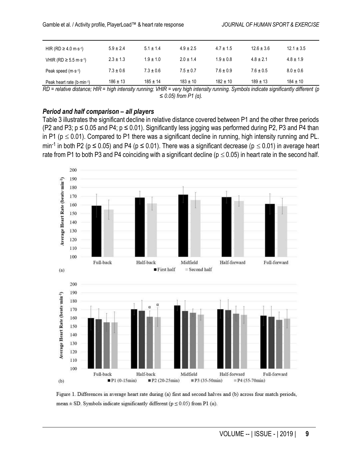| HIR (RD $\geq$ 4.0 m·s <sup>-1</sup> ) | $5.9 \pm 2.4$ | $5.1 + 1.4$   | $4.9 + 2.5$   | $4.7 + 1.5$   | $12.6 + 3.6$  | $12.1 \pm 3.5$ |
|----------------------------------------|---------------|---------------|---------------|---------------|---------------|----------------|
| VHIR (RD ≥ 5.5 m·s <sup>-1</sup> )     | $2.3 \pm 1.3$ | $1.9 \pm 1.0$ | $20 + 14$     | $1.9 + 0.8$   | $4.8 \pm 2.1$ | $4.8 \pm 1.9$  |
| Peak speed $(m \cdot s^{-1})$          | $7.3 \pm 0.6$ | $7.3 \pm 0.6$ | $7.5 \pm 0.7$ | $7.6 \pm 0.9$ | $7.6 \pm 0.5$ | $8.0 \pm 0.6$  |
| Peak heart rate (b-min-1)              | $186 \pm 13$  | $185 \pm 14$  | $183 \pm 10$  | $182 \pm 10$  | $189 \pm 13$  | $184 \pm 10$   |

*RD = relative distance; HIR = high intensity running; VHIR = very high intensity running. Symbols indicate significantly different (p ≤ 0.05) from P1 (α).*

#### *Period and half comparison – all players*

Table 3 illustrates the significant decline in relative distance covered between P1 and the other three periods (P2 and P3; p ≤ 0.05 and P4; p ≤ 0.01). Significantly less jogging was performed during P2, P3 and P4 than in P1 ( $p \le 0.01$ ). Compared to P1 there was a significant decline in running, high intensity running and PL. min<sup>-1</sup> in both P2 (p ≤ 0.05) and P4 (p ≤ 0.01). There was a significant decrease (p ≤ 0.01) in average heart rate from P1 to both P3 and P4 coinciding with a significant decline ( $p \le 0.05$ ) in heart rate in the second half.



Figure 1. Differences in average heart rate during (a) first and second halves and (b) across four match periods, mean  $\pm$  SD. Symbols indicate significantly different ( $p \le 0.05$ ) from P1 ( $\alpha$ ).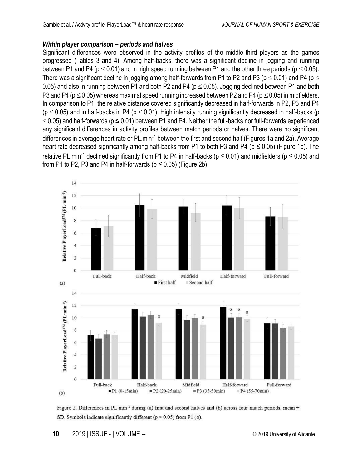## *Within player comparison – periods and halves*

Significant differences were observed in the activity profiles of the middle-third players as the games progressed (Tables 3 and 4). Among half-backs, there was a significant decline in jogging and running between P1 and P4 ( $p \le 0.01$ ) and in high speed running between P1 and the other three periods ( $p \le 0.05$ ). There was a significant decline in jogging among half-forwards from P1 to P2 and P3 ( $p \le 0.01$ ) and P4 ( $p \le$ 0.05) and also in running between P1 and both P2 and P4 ( $p \le 0.05$ ). Jogging declined between P1 and both P3 and P4 ( $p \le 0.05$ ) whereas maximal speed running increased between P2 and P4 ( $p \le 0.05$ ) in midfielders. In comparison to P1, the relative distance covered significantly decreased in half-forwards in P2, P3 and P4 ( $p \le 0.05$ ) and in half-backs in P4 ( $p \le 0.01$ ). High intensity running significantly decreased in half-backs (p  $\leq$  0.05) and half-forwards (p  $\leq$  0.01) between P1 and P4. Neither the full-backs nor full-forwards experienced any significant differences in activity profiles between match periods or halves. There were no significant differences in average heart rate or PL min<sup>-1</sup> between the first and second half (Figures 1a and 2a). Average heart rate decreased significantly among half-backs from P1 to both P3 and P4 ( $p \le 0.05$ ) (Figure 1b). The relative PL.min<sup>-1</sup> declined significantly from P1 to P4 in half-backs ( $p \le 0.01$ ) and midfielders ( $p \le 0.05$ ) and from P1 to P2, P3 and P4 in half-forwards ( $p \le 0.05$ ) (Figure 2b).



Figure 2. Differences in PL min<sup>-1</sup> during (a) first and second halves and (b) across four match periods, mean  $\pm$ SD. Symbols indicate significantly different ( $p \le 0.05$ ) from P1 ( $\alpha$ ).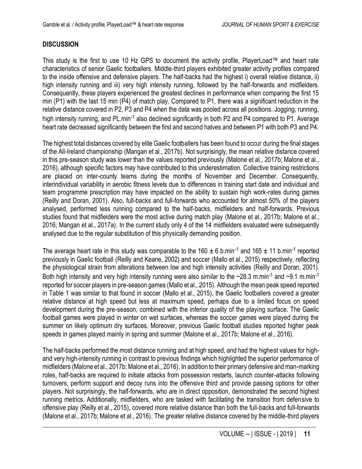## **DISCUSSION**

This study is the first to use 10 Hz GPS to document the activity profile, PlayerLoad™ and heart rate characteristics of senior Gaelic footballers. Middle-third players exhibited greater activity profiles compared to the inside offensive and defensive players. The half-backs had the highest i) overall relative distance, ii) high intensity running and iii) very high intensity running, followed by the half-forwards and midfielders. Consequently, these players experienced the greatest declines in performance when comparing the first 15 min (P1) with the last 15 min (P4) of match play. Compared to P1, there was a significant reduction in the relative distance covered in P2, P3 and P4 when the data was pooled across all positions. Jogging, running, high intensity running, and PL.min<sup>-1</sup> also declined significantly in both P2 and P4 compared to P1. Average heart rate decreased significantly between the first and second halves and between P1 with both P3 and P4.

The highest total distances covered by elite Gaelic footballers has been found to occur during the final stages of the All-Ireland championship (Mangan et al., 2017b). Not surprisingly, the mean relative distance covered in this pre-season study was lower than the values reported previously (Malone et al., 2017b; Malone et al., 2016), although specific factors may have contributed to this underestimation. Collective training restrictions are placed on inter-county teams during the months of November and December. Consequently, interindividual variability in aerobic fitness levels due to differences in training start date and individual and team programme prescription may have impacted on the ability to sustain high work-rates during games (Reilly and Doran, 2001). Also, full-backs and full-forwards who accounted for almost 50% of the players analysed, performed less running compared to the half-backs, midfielders and half-forwards. Previous studies found that midfielders were the most active during match play (Malone et al., 2017b; Malone et al., 2016; Mangan et al., 2017a). In the current study only 4 of the 14 midfielders evaluated were subsequently analysed due to the regular substitution of this physically demanding position.

The average heart rate in this study was comparable to the 160  $\pm$  6 b.min<sup>-1</sup> and 165  $\pm$  11 b.min<sup>-1</sup> reported previously in Gaelic football (Reilly and Keane, 2002) and soccer (Mallo et al., 2015) respectively, reflecting the physiological strain from alterations between low and high intensity activities (Reilly and Doran, 2001). Both high intensity and very high intensity running were also similar to the ~28.3 m.min<sup>-1</sup> and ~9.1 m.min<sup>-1</sup> reported for soccer players in pre-season games (Mallo et al., 2015). Although the mean peak speed reported in Table 1 was similar to that found in soccer (Mallo et al., 2015), the Gaelic footballers covered a greater relative distance at high speed but less at maximum speed, perhaps due to a limited focus on speed development during the pre-season, combined with the inferior quality of the playing surface. The Gaelic football games were played in winter on wet surfaces, whereas the soccer games were played during the summer on likely optimum dry surfaces. Moreover, previous Gaelic football studies reported higher peak speeds in games played mainly in spring and summer (Malone et al., 2017b; Malone et al., 2016).

The half-backs performed the most distance running and at high speed, and had the highest values for highand very high-intensity running in contrast to previous findings which highlighted the superior performance of midfielders (Malone et al., 2017b; Malone et al., 2016). In addition to their primary defensive and man-marking roles, half-backs are required to initiate attacks from possession restarts, launch counter-attacks following turnovers, perform support and decoy runs into the offensive third and provide passing options for other players. Not surprisingly, the half-forwards, who are in direct opposition, demonstrated the second highest running metrics. Additionally, midfielders, who are tasked with facilitating the transition from defensive to offensive play (Reilly et al., 2015), covered more relative distance than both the full-backs and full-forwards (Malone et al., 2017b; Malone et al., 2016). The greater relative distance covered by the middle-third players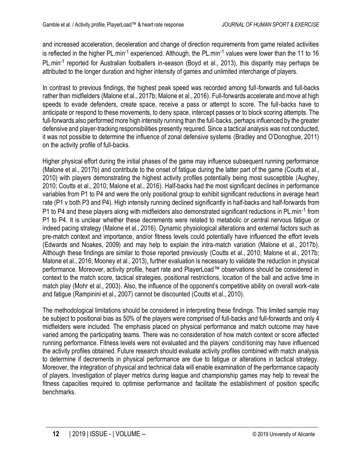and increased acceleration, deceleration and change of direction requirements from game related activities is reflected in the higher PL.min<sup>-1</sup> experienced. Although, the PL.min<sup>-1</sup> values were lower than the 11 to 16 PL.min<sup>-1</sup> reported for Australian footballers in-season (Boyd et al., 2013), this disparity may perhaps be attributed to the longer duration and higher intensity of games and unlimited interchange of players.

In contrast to previous findings, the highest peak speed was recorded among full-forwards and full-backs rather than midfielders (Malone et al., 2017b; Malone et al., 2016). Full-forwards accelerate and move at high speeds to evade defenders, create space, receive a pass or attempt to score. The full-backs have to anticipate or respond to these movements, to deny space, intercept passes or to block scoring attempts. The full-forwards also performed more high intensity running than the full-backs, perhaps influenced by the greater defensive and player-tracking responsibilities presently required. Since a tactical analysis was not conducted, it was not possible to determine the influence of zonal defensive systems (Bradley and O'Donoghue, 2011) on the activity profile of full-backs.

Higher physical effort during the initial phases of the game may influence subsequent running performance (Malone et al., 2017b) and contribute to the onset of fatigue during the latter part of the game (Coutts et al., 2010) with players demonstrating the highest activity profiles potentially being most susceptible (Aughey, 2010; Coutts et al., 2010; Malone et al., 2016). Half-backs had the most significant declines in performance variables from P1 to P4 and were the only positional group to exhibit significant reductions in average heart rate (P1 v both P3 and P4). High intensity running declined significantly in half-backs and half-forwards from P1 to P4 and these players along with midfielders also demonstrated significant reductions in PL.min<sup>-1</sup> from P1 to P4. It is unclear whether these decrements were related to metabolic or central nervous fatigue or indeed pacing strategy (Malone et al., 2016). Dynamic physiological alterations and external factors such as pre-match context and importance, and/or fitness levels could potentially have influenced the effort levels (Edwards and Noakes, 2009) and may help to explain the intra-match variation (Malone et al., 2017b). Although these findings are similar to those reported previously (Coutts et al., 2010; Malone et al., 2017b; Malone et al., 2016; Mooney et al., 2013), further evaluation is necessary to validate the reduction in physical performance. Moreover, activity profile, heart rate and PlayerLoad™ observations should be considered in context to the match score, tactical strategies, positional restrictions, location of the ball and active time in match play (Mohr et al., 2003). Also, the influence of the opponent's competitive ability on overall work-rate and fatigue (Rampinini et al., 2007) cannot be discounted (Coutts et al., 2010).

The methodological limitations should be considered in interpreting these findings. This limited sample may be subject to positional bias as 50% of the players were comprised of full-backs and full-forwards and only 4 midfielders were included. The emphasis placed on physical performance and match outcome may have varied among the participating teams. There was no consideration of how match context or score affected running performance. Fitness levels were not evaluated and the players' conditioning may have influenced the activity profiles obtained. Future research should evaluate activity profiles combined with match analysis to determine if decrements in physical performance are due to fatigue or alterations in tactical strategy. Moreover, the integration of physical and technical data will enable examination of the performance capacity of players. Investigation of player metrics during league and championship games may help to reveal the fitness capacities required to optimise performance and facilitate the establishment of position specific benchmarks.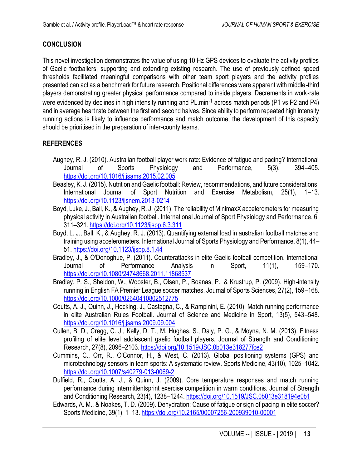### **CONCLUSION**

This novel investigation demonstrates the value of using 10 Hz GPS devices to evaluate the activity profiles of Gaelic footballers, supporting and extending existing research. The use of previously defined speed thresholds facilitated meaningful comparisons with other team sport players and the activity profiles presented can act as a benchmark for future research. Positional differences were apparent with middle-third players demonstrating greater physical performance compared to inside players. Decrements in work-rate were evidenced by declines in high intensity running and PL.min<sup>-1</sup> across match periods (P1 vs P2 and P4) and in average heart rate between the first and second halves. Since ability to perform repeated high intensity running actions is likely to influence performance and match outcome, the development of this capacity should be prioritised in the preparation of inter-county teams.

## **REFERENCES**

- Aughey, R. J. (2010). Australian football player work rate: Evidence of fatigue and pacing? International Journal of Sports Physiology and Performance, 5(3), 394–405. <https://doi.org/10.1016/j.jsams.2015.02.005>
- Beasley, K. J. (2015). Nutrition and Gaelic football: Review, recommendations, and future considerations. International Journal of Sport Nutrition and Exercise Metabolism, 25(1), 1–13. <https://doi.org/10.1123/ijsnem.2013-0214>
- Boyd, Luke, J., Ball, K., & Aughey, R. J. (2011). The reliability of MinimaxX accelerometers for measuring physical activity in Australian football. International Journal of Sport Physiology and Performance, 6, 311–321[. https://doi.org/10.1123/ijspp.6.3.311](https://doi.org/10.1123/ijspp.6.3.311)
- Boyd, L. J., Ball, K., & Aughey, R. J. (2013). Quantifying external load in australian football matches and training using accelerometers. International Journal of Sports Physiology and Performance, 8(1), 44– 51.<https://doi.org/10.1123/ijspp.8.1.44>
- Bradley, J., & O'Donoghue, P. (2011). Counterattacks in elite Gaelic football competition. International Journal of Performance Analysis in Sport, 11(1), 159–170. <https://doi.org/10.1080/24748668.2011.11868537>
- Bradley, P. S., Sheldon, W., Wooster, B., Olsen, P., Boanas, P., & Krustrup, P. (2009). High-intensity running in English FA Premier League soccer matches. Journal of Sports Sciences, 27(2), 159–168. <https://doi.org/10.1080/02640410802512775>
- Coutts, A. J., Quinn, J., Hocking, J., Castagna, C., & Rampinini, E. (2010). Match running performance in elite Australian Rules Football. Journal of Science and Medicine in Sport, 13(5), 543–548. <https://doi.org/10.1016/j.jsams.2009.09.004>
- Cullen, B. D., Cregg, C. J., Kelly, D. T., M. Hughes, S., Daly, P. G., & Moyna, N. M. (2013). Fitness profiling of elite level adolescent gaelic football players. Journal of Strength and Conditioning Research, 27(8), 2096–2103[. https://doi.org/10.1519/JSC.0b013e318277fce2](https://doi.org/10.1519/JSC.0b013e318277fce2)
- Cummins, C., Orr, R., O'Connor, H., & West, C. (2013). Global positioning systems (GPS) and microtechnology sensors in team sports: A systematic review. Sports Medicine, 43(10), 1025–1042. <https://doi.org/10.1007/s40279-013-0069-2>
- Duffield, R., Coutts, A. J., & Quinn, J. (2009). Core temperature responses and match running performance during intermittentsprint exercise competition in warm conditions. Journal of Strength and Conditioning Research, 23(4), 1238–1244.<https://doi.org/10.1519/JSC.0b013e318194e0b1>
- Edwards, A. M., & Noakes, T. D. (2009). Dehydration: Cause of fatigue or sign of pacing in elite soccer? Sports Medicine, 39(1), 1–13[. https://doi.org/10.2165/00007256-200939010-00001](https://doi.org/10.2165/00007256-200939010-00001)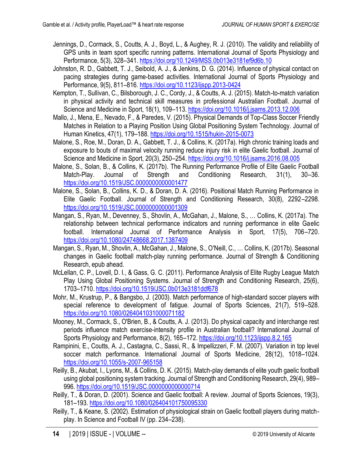- Jennings, D., Cormack, S., Coutts, A. J., Boyd, L., & Aughey, R. J. (2010). The validity and reliability of GPS units in team sport specific running patterns. International Journal of Sports Physiology and Performance, 5(3), 328–341.<https://doi.org/10.1249/MSS.0b013e3181ef9d6b.10>
- Johnston, R. D., Gabbett, T. J., Seibold, A. J., & Jenkins, D. G. (2014). Influence of physical contact on pacing strategies during game-based activities. International Journal of Sports Physiology and Performance, 9(5), 811–816.<https://doi.org/10.1123/ijspp.2013-0424>
- Kempton, T., Sullivan, C., Bilsborough, J. C., Cordy, J., & Coutts, A. J. (2015). Match-to-match variation in physical activity and technical skill measures in professional Australian Football. Journal of Science and Medicine in Sport, 18(1), 109–113[. https://doi.org/10.1016/j.jsams.2013.12.006](https://doi.org/10.1016/j.jsams.2013.12.006)
- Mallo, J., Mena, E., Nevado, F., & Paredes, V. (2015). Physical Demands of Top-Class Soccer Friendly Matches in Relation to a Playing Position Using Global Positioning System Technology. Journal of Human Kinetics, 47(1), 179–188.<https://doi.org/10.1515/hukin-2015-0073>
- Malone, S., Roe, M., Doran, D. A., Gabbett, T. J., & Collins, K. (2017a). High chronic training loads and exposure to bouts of maximal velocity running reduce injury risk in elite Gaelic football. Journal of Science and Medicine in Sport, 20(3), 250-254[. https://doi.org/10.1016/j.jsams.2016.08.005](https://doi.org/10.1016/j.jsams.2016.08.005)
- Malone, S., Solan, B., & Collins, K. (2017b). The Running Performance Profile of Elite Gaelic Football Match-Play. Journal of Strength and Conditioning Research, 31(1), 30–36. <https://doi.org/10.1519/JSC.0000000000001477>
- Malone, S., Solan, B., Collins, K. D., & Doran, D. A. (2016). Positional Match Running Performance in Elite Gaelic Football. Journal of Strength and Conditioning Research, 30(8), 2292–2298. <https://doi.org/10.1519/JSC.0000000000001309>
- Mangan, S., Ryan, M., Devenney, S., Shovlin, A., McGahan, J., Malone, S., … Collins, K. (2017a). The relationship between technical performance indicators and running performance in elite Gaelic football. International Journal of Performance Analysis in Sport, 17(5), 706–720. <https://doi.org/10.1080/24748668.2017.1387409>
- Mangan, S., Ryan, M., Shovlin, A., McGahan, J., Malone, S., O'Neill, C., … Collins, K. (2017b). Seasonal changes in Gaelic football match-play running performance. Journal of Strength & Conditioning Research, epub ahead.
- McLellan, C. P., Lovell, D. I., & Gass, G. C. (2011). Performance Analysis of Elite Rugby League Match Play Using Global Positioning Systems. Journal of Strength and Conditioning Research, 25(6), 1703–1710.<https://doi.org/10.1519/JSC.0b013e3181ddf678>
- Mohr, M., Krustrup, P., & Bangsbo, J. (2003). Match performance of high-standard soccer players with special reference to development of fatigue. Journal of Sports Sciences, 21(7), 519–528. <https://doi.org/10.1080/0264041031000071182>
- Mooney, M., Cormack, S., O'Brien, B., & Coutts, A. J. (2013). Do physical capacity and interchange rest periods influence match exercise-intensity profile in Australian football? International Journal of Sports Physiology and Performance, 8(2), 165-172.<https://doi.org/10.1123/ijspp.8.2.165>
- Rampinini, E., Coutts, A. J., Castagna, C., Sassi, R., & Impellizzeri, F. M. (2007). Variation in top level soccer match performance. International Journal of Sports Medicine, 28(12), 1018–1024. <https://doi.org/10.1055/s-2007-965158>
- Reilly, B., Akubat, I., Lyons, M., & Collins, D. K. (2015). Match-play demands of elite youth gaelic football using global positioning system tracking. Journal of Strength and Conditioning Research, 29(4), 989– 996[. https://doi.org/10.1519/JSC.0000000000000714](https://doi.org/10.1519/JSC.0000000000000714)
- Reilly, T., & Doran, D. (2001). Science and Gaelic football: A review. Journal of Sports Sciences, 19(3), 181–193[. https://doi.org/10.1080/026404101750095330](https://doi.org/10.1080/026404101750095330)
- Reilly, T., & Keane, S. (2002). Estimation of physiological strain on Gaelic football players during matchplay. In Science and Football IV (pp. 234–238).